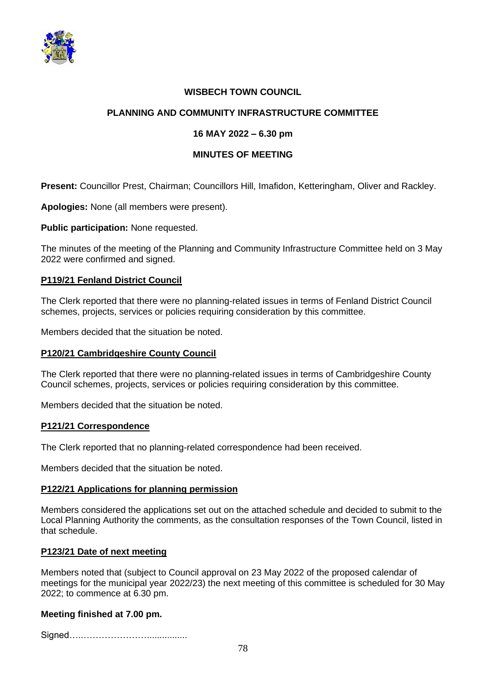

# **WISBECH TOWN COUNCIL**

# **PLANNING AND COMMUNITY INFRASTRUCTURE COMMITTEE**

# **16 MAY 2022 – 6.30 pm**

### **MINUTES OF MEETING**

**Present:** Councillor Prest, Chairman; Councillors Hill, Imafidon, Ketteringham, Oliver and Rackley.

**Apologies:** None (all members were present).

**Public participation:** None requested.

The minutes of the meeting of the Planning and Community Infrastructure Committee held on 3 May 2022 were confirmed and signed.

# **P119/21 Fenland District Council**

The Clerk reported that there were no planning-related issues in terms of Fenland District Council schemes, projects, services or policies requiring consideration by this committee.

Members decided that the situation be noted.

#### **P120/21 Cambridgeshire County Council**

The Clerk reported that there were no planning-related issues in terms of Cambridgeshire County Council schemes, projects, services or policies requiring consideration by this committee.

Members decided that the situation be noted.

#### **P121/21 Correspondence**

The Clerk reported that no planning-related correspondence had been received.

Members decided that the situation be noted.

#### **P122/21 Applications for planning permission**

Members considered the applications set out on the attached schedule and decided to submit to the Local Planning Authority the comments, as the consultation responses of the Town Council, listed in that schedule.

#### **P123/21 Date of next meeting**

Members noted that (subject to Council approval on 23 May 2022 of the proposed calendar of meetings for the municipal year 2022/23) the next meeting of this committee is scheduled for 30 May 2022; to commence at 6.30 pm.

#### **Meeting finished at 7.00 pm.**

Signed…..…………………................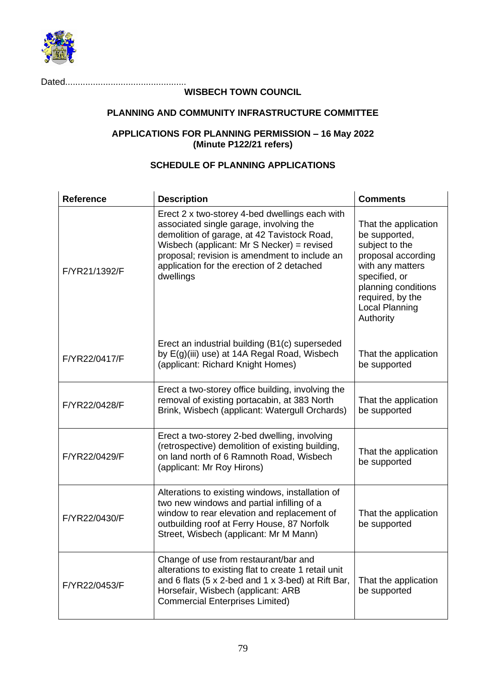

Dated................................................

# **WISBECH TOWN COUNCIL**

# **PLANNING AND COMMUNITY INFRASTRUCTURE COMMITTEE**

### **APPLICATIONS FOR PLANNING PERMISSION – 16 May 2022 (Minute P122/21 refers)**

# **SCHEDULE OF PLANNING APPLICATIONS**

| <b>Reference</b> | <b>Description</b>                                                                                                                                                                                                                                                                                 | <b>Comments</b>                                                                                                                                                                                     |
|------------------|----------------------------------------------------------------------------------------------------------------------------------------------------------------------------------------------------------------------------------------------------------------------------------------------------|-----------------------------------------------------------------------------------------------------------------------------------------------------------------------------------------------------|
| F/YR21/1392/F    | Erect 2 x two-storey 4-bed dwellings each with<br>associated single garage, involving the<br>demolition of garage, at 42 Tavistock Road,<br>Wisbech (applicant: Mr S Necker) = revised<br>proposal; revision is amendment to include an<br>application for the erection of 2 detached<br>dwellings | That the application<br>be supported,<br>subject to the<br>proposal according<br>with any matters<br>specified, or<br>planning conditions<br>required, by the<br><b>Local Planning</b><br>Authority |
| F/YR22/0417/F    | Erect an industrial building (B1(c) superseded<br>by E(g)(iii) use) at 14A Regal Road, Wisbech<br>(applicant: Richard Knight Homes)                                                                                                                                                                | That the application<br>be supported                                                                                                                                                                |
| F/YR22/0428/F    | Erect a two-storey office building, involving the<br>removal of existing portacabin, at 383 North<br>Brink, Wisbech (applicant: Watergull Orchards)                                                                                                                                                | That the application<br>be supported                                                                                                                                                                |
| F/YR22/0429/F    | Erect a two-storey 2-bed dwelling, involving<br>(retrospective) demolition of existing building,<br>on land north of 6 Ramnoth Road, Wisbech<br>(applicant: Mr Roy Hirons)                                                                                                                         | That the application<br>be supported                                                                                                                                                                |
| F/YR22/0430/F    | Alterations to existing windows, installation of<br>two new windows and partial infilling of a<br>window to rear elevation and replacement of<br>outbuilding roof at Ferry House, 87 Norfolk<br>Street, Wisbech (applicant: Mr M Mann)                                                             | That the application<br>be supported                                                                                                                                                                |
| F/YR22/0453/F    | Change of use from restaurant/bar and<br>alterations to existing flat to create 1 retail unit<br>and 6 flats (5 x 2-bed and 1 x 3-bed) at Rift Bar,<br>Horsefair, Wisbech (applicant: ARB<br><b>Commercial Enterprises Limited)</b>                                                                | That the application<br>be supported                                                                                                                                                                |